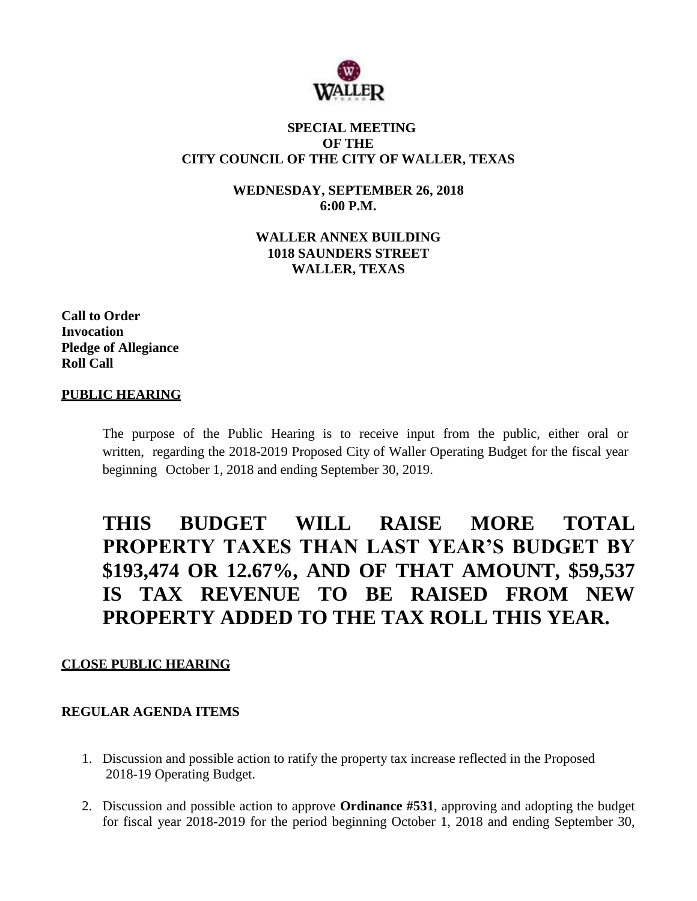

#### **SPECIAL MEETING OF THE CITY COUNCIL OF THE CITY OF WALLER, TEXAS**

**WEDNESDAY, SEPTEMBER 26, 2018 6:00 P.M.**

**WALLER ANNEX BUILDING 1018 SAUNDERS STREET WALLER, TEXAS**

**Call to Order Invocation Pledge of Allegiance Roll Call**

#### **PUBLIC HEARING**

The purpose of the Public Hearing is to receive input from the public, either oral or written, regarding the 2018-2019 Proposed City of Waller Operating Budget for the fiscal year beginning October 1, 2018 and ending September 30, 2019.

# **THIS BUDGET WILL RAISE MORE TOTAL PROPERTY TAXES THAN LAST YEAR'S BUDGET BY \$193,474 OR 12.67%, AND OF THAT AMOUNT, \$59,537 IS TAX REVENUE TO BE RAISED FROM NEW PROPERTY ADDED TO THE TAX ROLL THIS YEAR.**

### **CLOSE PUBLIC HEARING**

### **REGULAR AGENDA ITEMS**

- 1. Discussion and possible action to ratify the property tax increase reflected in the Proposed 2018-19 Operating Budget.
- 2. Discussion and possible action to approve **Ordinance #531**, approving and adopting the budget for fiscal year 2018-2019 for the period beginning October 1, 2018 and ending September 30,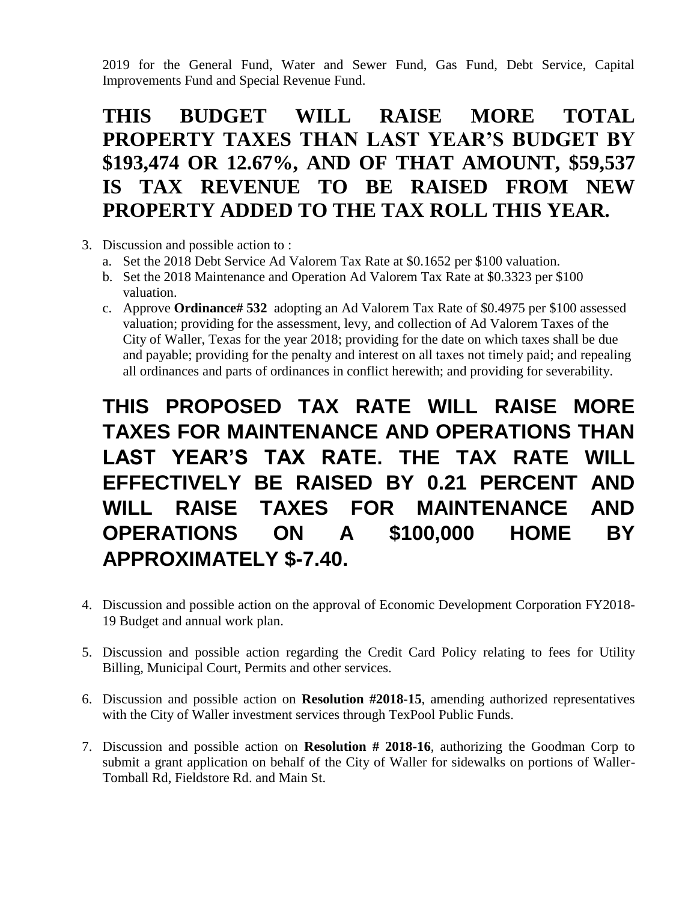2019 for the General Fund, Water and Sewer Fund, Gas Fund, Debt Service, Capital Improvements Fund and Special Revenue Fund.

# **THIS BUDGET WILL RAISE MORE TOTAL PROPERTY TAXES THAN LAST YEAR'S BUDGET BY \$193,474 OR 12.67%, AND OF THAT AMOUNT, \$59,537 IS TAX REVENUE TO BE RAISED FROM NEW PROPERTY ADDED TO THE TAX ROLL THIS YEAR.**

- 3. Discussion and possible action to :
	- a. Set the 2018 Debt Service Ad Valorem Tax Rate at \$0.1652 per \$100 valuation.
	- b. Set the 2018 Maintenance and Operation Ad Valorem Tax Rate at \$0.3323 per \$100 valuation.
	- c. Approve **Ordinance# 532** adopting an Ad Valorem Tax Rate of \$0.4975 per \$100 assessed valuation; providing for the assessment, levy, and collection of Ad Valorem Taxes of the City of Waller, Texas for the year 2018; providing for the date on which taxes shall be due and payable; providing for the penalty and interest on all taxes not timely paid; and repealing all ordinances and parts of ordinances in conflict herewith; and providing for severability.

# **THIS PROPOSED TAX RATE WILL RAISE MORE TAXES FOR MAINTENANCE AND OPERATIONS THAN LAST YEAR'S TAX RATE. THE TAX RATE WILL EFFECTIVELY BE RAISED BY 0.21 PERCENT AND WILL RAISE TAXES FOR MAINTENANCE AND OPERATIONS ON A \$100,000 HOME BY APPROXIMATELY \$-7.40.**

- 4. Discussion and possible action on the approval of Economic Development Corporation FY2018- 19 Budget and annual work plan.
- 5. Discussion and possible action regarding the Credit Card Policy relating to fees for Utility Billing, Municipal Court, Permits and other services.
- 6. Discussion and possible action on **Resolution #2018-15**, amending authorized representatives with the City of Waller investment services through TexPool Public Funds.
- 7. Discussion and possible action on **Resolution # 2018-16**, authorizing the Goodman Corp to submit a grant application on behalf of the City of Waller for sidewalks on portions of Waller-Tomball Rd, Fieldstore Rd. and Main St.